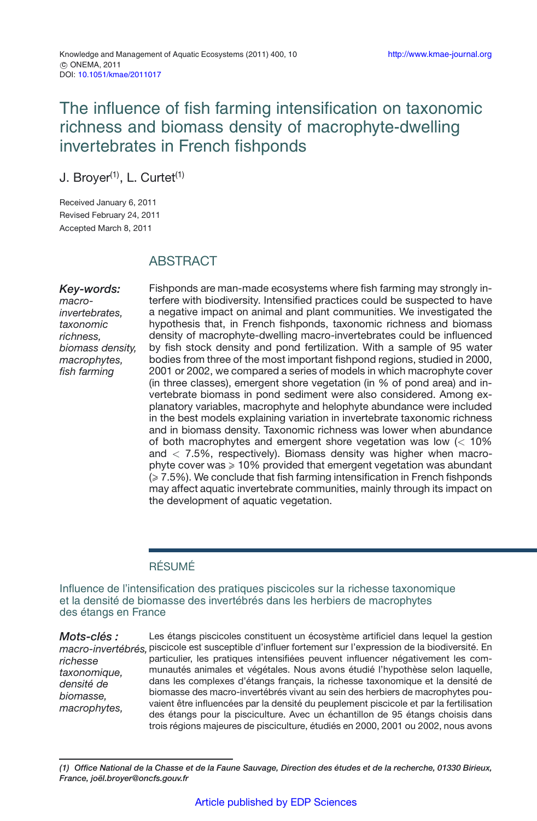# The influence of fish farming intensification on taxonomic richness and biomass density of macrophyte-dwelling invertebrates in French fishponds

J. Broyer<sup>(1)</sup>, L. Curtet<sup>(1)</sup>

Received January 6, 2011 Revised February 24, 2011 Accepted March 8, 2011

## **ABSTRACT**

*Key-words: macroinvertebrates, taxonomic richness, biomass density, macrophytes, fish farming*

Fishponds are man-made ecosystems where fish farming may strongly interfere with biodiversity. Intensified practices could be suspected to have a negative impact on animal and plant communities. We investigated the hypothesis that, in French fishponds, taxonomic richness and biomass density of macrophyte-dwelling macro-invertebrates could be influenced by fish stock density and pond fertilization. With a sample of 95 water bodies from three of the most important fishpond regions, studied in 2000, 2001 or 2002, we compared a series of models in which macrophyte cover (in three classes), emergent shore vegetation (in % of pond area) and invertebrate biomass in pond sediment were also considered. Among explanatory variables, macrophyte and helophyte abundance were included in the best models explaining variation in invertebrate taxonomic richness and in biomass density. Taxonomic richness was lower when abundance of both macrophytes and emergent shore vegetation was low (*<* 10% and *<* 7.5%, respectively). Biomass density was higher when macrophyte cover was  $\geqslant$  10% provided that emergent vegetation was abundant  $(\geqslant 7.5\%)$ . We conclude that fish farming intensification in French fishponds may affect aquatic invertebrate communities, mainly through its impact on the development of aquatic vegetation.

## RÉSUMÉ

Influence de l'intensification des pratiques piscicoles sur la richesse taxonomique et la densité de biomasse des invertébrés dans les herbiers de macrophytes des étangs en France

*Mots-clés : macro-invertébrés,* piscicole est susceptible d'influer fortement sur l'expression de la biodiversité. En *richesse taxonomique, densité de biomasse, macrophytes,* Les étangs piscicoles constituent un écosystème artificiel dans lequel la gestion particulier, les pratiques intensifiées peuvent influencer négativement les communautés animales et végétales. Nous avons étudié l'hypothèse selon laquelle, dans les complexes d'étangs français, la richesse taxonomique et la densité de biomasse des macro-invertébrés vivant au sein des herbiers de macrophytes pouvaient être influencées par la densité du peuplement piscicole et par la fertilisation des étangs pour la pisciculture. Avec un échantillon de 95 étangs choisis dans trois régions majeures de pisciculture, étudiés en 2000, 2001 ou 2002, nous avons

*(1) Office National de la Chasse et de la Faune Sauvage, Direction des études et de la recherche, 01330 Birieux, France, joël.broyer@oncfs.gouv.fr*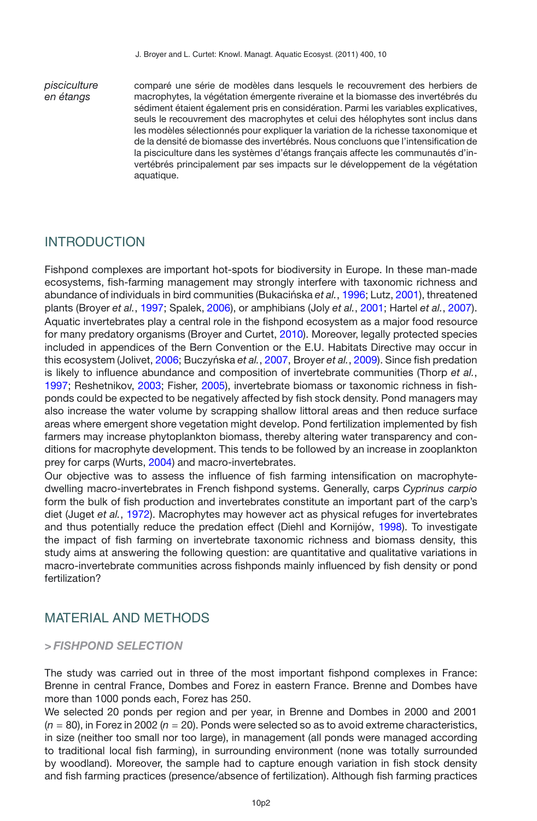*pisciculture en étangs*

comparé une série de modèles dans lesquels le recouvrement des herbiers de macrophytes, la végétation émergente riveraine et la biomasse des invertébrés du sédiment étaient également pris en considération. Parmi les variables explicatives, seuls le recouvrement des macrophytes et celui des hélophytes sont inclus dans les modèles sélectionnés pour expliquer la variation de la richesse taxonomique et de la densité de biomasse des invertébrés. Nous concluons que l'intensification de la pisciculture dans les systèmes d'étangs français affecte les communautés d'invertébrés principalement par ses impacts sur le développement de la végétation aquatique.

## INTRODUCTION

Fishpond complexes are important hot-spots for biodiversity in Europe. In these man-made ecosystems, fish-farming management may strongly interfere with taxonomic richness and abundance of individuals in bird communities (Bukacińska et al., [1996](#page-10-0); Lutz, [2001](#page-11-0)), threatened plants (Broyer *et al.*, [1997;](#page-10-1) Spalek, [2006\)](#page-11-1), or amphibians (Joly *et al.*, [2001;](#page-10-2) Hartel *et al.*, [2007](#page-10-3)). Aquatic invertebrates play a central role in the fishpond ecosystem as a major food resource for many predatory organisms (Broyer and Curtet, [2010\)](#page-10-4). Moreover, legally protected species included in appendices of the Bern Convention or the E.U. Habitats Directive may occur in this ecosystem (Jolivet, [2006;](#page-10-5) Buczyńska et al., [2007,](#page-10-6) Broyer et al., [2009](#page-10-7)). Since fish predation is likely to influence abundance and composition of invertebrate communities (Thorp *et al.*, [1997;](#page-11-2) Reshetnikov, [2003](#page-11-3); Fisher, [2005\)](#page-10-8), invertebrate biomass or taxonomic richness in fishponds could be expected to be negatively affected by fish stock density. Pond managers may also increase the water volume by scrapping shallow littoral areas and then reduce surface areas where emergent shore vegetation might develop. Pond fertilization implemented by fish farmers may increase phytoplankton biomass, thereby altering water transparency and conditions for macrophyte development. This tends to be followed by an increase in zooplankton prey for carps (Wurts, [2004](#page-11-4)) and macro-invertebrates.

Our objective was to assess the influence of fish farming intensification on macrophytedwelling macro-invertebrates in French fishpond systems. Generally, carps *Cyprinus carpio* form the bulk of fish production and invertebrates constitute an important part of the carp's diet (Juget *et al.*, [1972](#page-10-9)). Macrophytes may however act as physical refuges for invertebrates and thus potentially reduce the predation effect (Diehl and Kornijów, [1998\)](#page-10-10). To investigate the impact of fish farming on invertebrate taxonomic richness and biomass density, this study aims at answering the following question: are quantitative and qualitative variations in macro-invertebrate communities across fishponds mainly influenced by fish density or pond fertilization?

## MATERIAL AND METHODS

## *> FISHPOND SELECTION*

The study was carried out in three of the most important fishpond complexes in France: Brenne in central France, Dombes and Forez in eastern France. Brenne and Dombes have more than 1000 ponds each, Forez has 250.

We selected 20 ponds per region and per year, in Brenne and Dombes in 2000 and 2001 (*n* = 80), in Forez in 2002 (*n* = 20). Ponds were selected so as to avoid extreme characteristics, in size (neither too small nor too large), in management (all ponds were managed according to traditional local fish farming), in surrounding environment (none was totally surrounded by woodland). Moreover, the sample had to capture enough variation in fish stock density and fish farming practices (presence/absence of fertilization). Although fish farming practices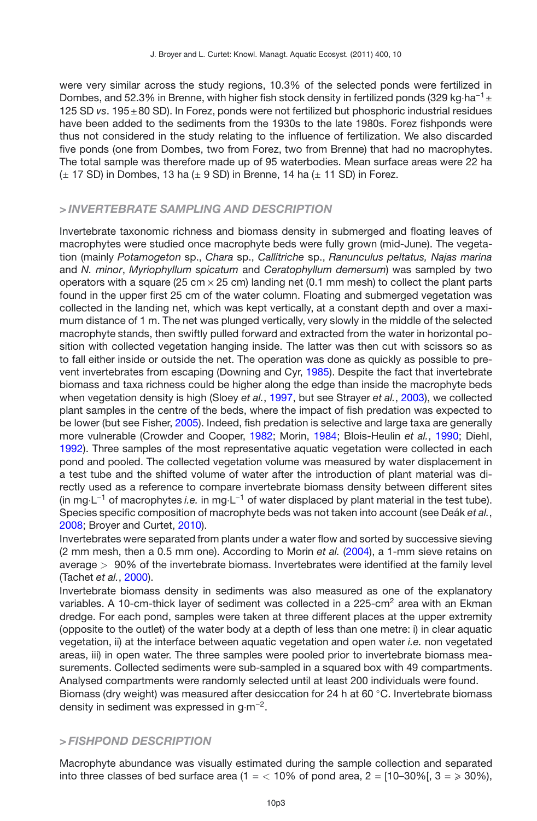were very similar across the study regions, 10.3% of the selected ponds were fertilized in Dombes, and 52.3% in Brenne, with higher fish stock density in fertilized ponds (329 kg·ha<sup>-1</sup> ± 125 SD *vs*. 195±80 SD). In Forez, ponds were not fertilized but phosphoric industrial residues have been added to the sediments from the 1930s to the late 1980s. Forez fishponds were thus not considered in the study relating to the influence of fertilization. We also discarded five ponds (one from Dombes, two from Forez, two from Brenne) that had no macrophytes. The total sample was therefore made up of 95 waterbodies. Mean surface areas were 22 ha  $(\pm 17$  SD) in Dombes, 13 ha ( $\pm 9$  SD) in Brenne, 14 ha ( $\pm 11$  SD) in Forez.

## *> INVERTEBRATE SAMPLING AND DESCRIPTION*

Invertebrate taxonomic richness and biomass density in submerged and floating leaves of macrophytes were studied once macrophyte beds were fully grown (mid-June). The vegetation (mainly *Potamogeton* sp., *Chara* sp., *Callitriche* sp., *Ranunculus peltatus, Najas marina* and *N. minor*, *Myriophyllum spicatum* and *Ceratophyllum demersum*) was sampled by two operators with a square (25 cm  $\times$  25 cm) landing net (0.1 mm mesh) to collect the plant parts found in the upper first 25 cm of the water column. Floating and submerged vegetation was collected in the landing net, which was kept vertically, at a constant depth and over a maximum distance of 1 m. The net was plunged vertically, very slowly in the middle of the selected macrophyte stands, then swiftly pulled forward and extracted from the water in horizontal position with collected vegetation hanging inside. The latter was then cut with scissors so as to fall either inside or outside the net. The operation was done as quickly as possible to prevent invertebrates from escaping (Downing and Cyr, [1985\)](#page-10-11). Despite the fact that invertebrate biomass and taxa richness could be higher along the edge than inside the macrophyte beds when vegetation density is high (Sloey *et al.*, [1997](#page-11-5), but see Strayer *et al.*, [2003](#page-11-6)), we collected plant samples in the centre of the beds, where the impact of fish predation was expected to be lower (but see Fisher, [2005\)](#page-10-8). Indeed, fish predation is selective and large taxa are generally more vulnerable (Crowder and Cooper, [1982](#page-10-12); Morin, [1984](#page-11-7); Blois-Heulin *et al.*, [1990;](#page-9-0) Diehl, [1992\)](#page-10-13). Three samples of the most representative aquatic vegetation were collected in each pond and pooled. The collected vegetation volume was measured by water displacement in a test tube and the shifted volume of water after the introduction of plant material was directly used as a reference to compare invertebrate biomass density between different sites (in mg·L−<sup>1</sup> of macrophytes *i.e.* in mg·L−<sup>1</sup> of water displaced by plant material in the test tube). Species specific composition of macrophyte beds was not taken into account (see Deák *et al.*, [2008;](#page-10-14) Broyer and Curtet, [2010](#page-10-4)).

Invertebrates were separated from plants under a water flow and sorted by successive sieving (2 mm mesh, then a 0.5 mm one). According to Morin *et al.* [\(2004\)](#page-11-8), a 1-mm sieve retains on average *>* 90% of the invertebrate biomass. Invertebrates were identified at the family level (Tachet *et al.*, [2000](#page-11-9)).

Invertebrate biomass density in sediments was also measured as one of the explanatory variables. A 10-cm-thick layer of sediment was collected in a 225-cm<sup>2</sup> area with an Ekman dredge. For each pond, samples were taken at three different places at the upper extremity (opposite to the outlet) of the water body at a depth of less than one metre: i) in clear aquatic vegetation, ii) at the interface between aquatic vegetation and open water *i.e.* non vegetated areas, iii) in open water. The three samples were pooled prior to invertebrate biomass measurements. Collected sediments were sub-sampled in a squared box with 49 compartments. Analysed compartments were randomly selected until at least 200 individuals were found.

Biomass (dry weight) was measured after desiccation for 24 h at 60 °C. Invertebrate biomass density in sediment was expressed in g·m−2.

## *> FISHPOND DESCRIPTION*

Macrophyte abundance was visually estimated during the sample collection and separated into three classes of bed surface area (1 =  $<$  10% of pond area, 2 = [10–30%[, 3 =  $\geqslant$  30%),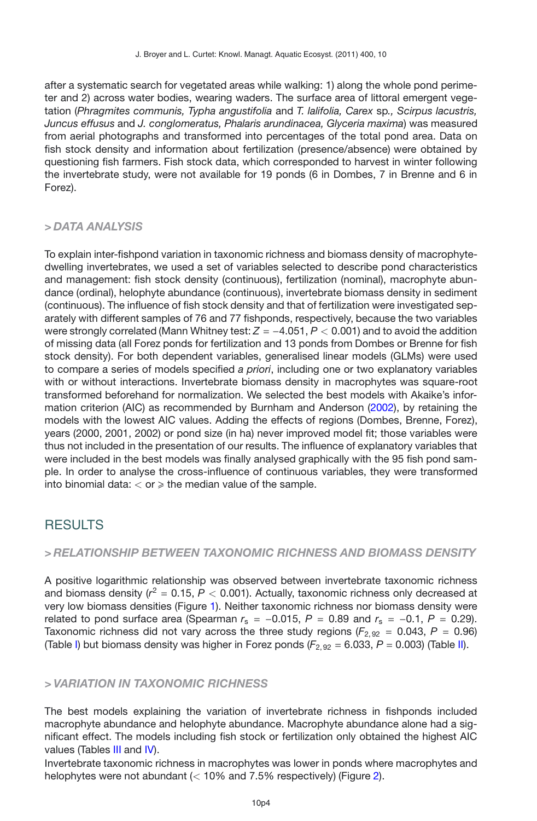after a systematic search for vegetated areas while walking: 1) along the whole pond perimeter and 2) across water bodies, wearing waders. The surface area of littoral emergent vegetation (*Phragmites communis, Typha angustifolia* and *T. lalifolia, Carex* sp*., Scirpus lacustris, Juncus effusus* and *J. conglomeratus, Phalaris arundinacea, Glyceria maxima*) was measured from aerial photographs and transformed into percentages of the total pond area. Data on fish stock density and information about fertilization (presence/absence) were obtained by questioning fish farmers. Fish stock data, which corresponded to harvest in winter following the invertebrate study, were not available for 19 ponds (6 in Dombes, 7 in Brenne and 6 in Forez).

## *> DATA ANALYSIS*

To explain inter-fishpond variation in taxonomic richness and biomass density of macrophytedwelling invertebrates, we used a set of variables selected to describe pond characteristics and management: fish stock density (continuous), fertilization (nominal), macrophyte abundance (ordinal), helophyte abundance (continuous), invertebrate biomass density in sediment (continuous). The influence of fish stock density and that of fertilization were investigated separately with different samples of 76 and 77 fishponds, respectively, because the two variables were strongly correlated (Mann Whitney test:  $Z = -4.051$ ,  $P < 0.001$ ) and to avoid the addition of missing data (all Forez ponds for fertilization and 13 ponds from Dombes or Brenne for fish stock density). For both dependent variables, generalised linear models (GLMs) were used to compare a series of models specified *a priori*, including one or two explanatory variables with or without interactions. Invertebrate biomass density in macrophytes was square-root transformed beforehand for normalization. We selected the best models with Akaike's information criterion (AIC) as recommended by Burnham and Anderson [\(2002](#page-10-15)), by retaining the models with the lowest AIC values. Adding the effects of regions (Dombes, Brenne, Forez), years (2000, 2001, 2002) or pond size (in ha) never improved model fit; those variables were thus not included in the presentation of our results. The influence of explanatory variables that were included in the best models was finally analysed graphically with the 95 fish pond sample. In order to analyse the cross-influence of continuous variables, they were transformed into binomial data:  $<$  or  $\geqslant$  the median value of the sample.

## RESULTS

## *> RELATIONSHIP BETWEEN TAXONOMIC RICHNESS AND BIOMASS DENSITY*

A positive logarithmic relationship was observed between invertebrate taxonomic richness and biomass density  $(r^2 = 0.15, P < 0.001)$ . Actually, taxonomic richness only decreased at very low biomass densities (Figure [1\)](#page-4-0). Neither taxonomic richness nor biomass density were related to pond surface area (Spearman  $r_s = -0.015$ ,  $P = 0.89$  and  $r_s = -0.1$ ,  $P = 0.29$ ). Taxonomic richness did not vary across the three study regions ( $F_{2.92} = 0.043$ ,  $P = 0.96$ ) (Table [I\)](#page-5-0) but biomass density was higher in Forez ponds  $(F_{2, 92} = 6.033, P = 0.003)$  (Table [II\)](#page-6-0).

## *> VARIATION IN TAXONOMIC RICHNESS*

The best models explaining the variation of invertebrate richness in fishponds included macrophyte abundance and helophyte abundance. Macrophyte abundance alone had a significant effect. The models including fish stock or fertilization only obtained the highest AIC values (Tables [III](#page-6-1) and [IV\)](#page-7-0).

Invertebrate taxonomic richness in macrophytes was lower in ponds where macrophytes and helophytes were not abundant (*<* 10% and 7.5% respectively) (Figure [2\)](#page-7-1).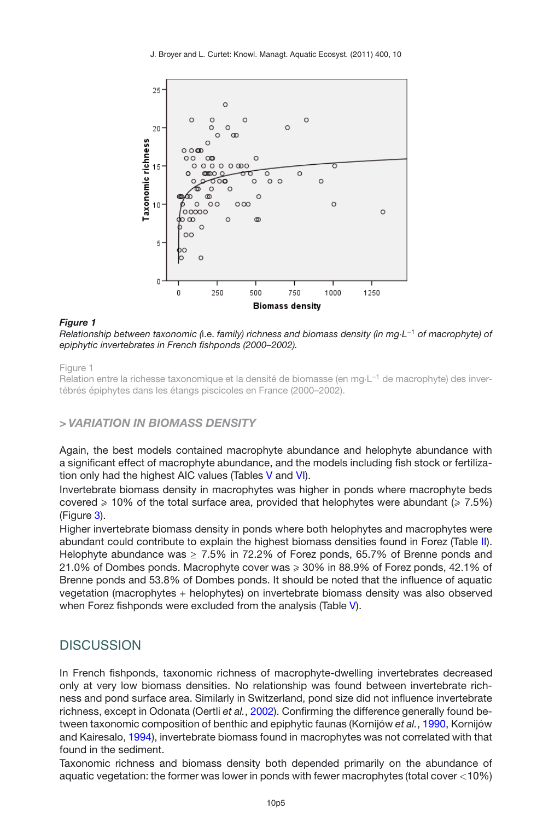<span id="page-4-0"></span>

#### *Figure 1*

*Relationship between taxonomic (*i.e. *family) richness and biomass density (in mg*·*L*−<sup>1</sup> *of macrophyte) of epiphytic invertebrates in French fishponds (2000–2002).*

#### Figure 1

Relation entre la richesse taxonomique et la densité de biomasse (en mg·L<sup>-1</sup> de macrophyte) des invertébrés épiphytes dans les étangs piscicoles en France (2000–2002).

## *> VARIATION IN BIOMASS DENSITY*

Again, the best models contained macrophyte abundance and helophyte abundance with a significant effect of macrophyte abundance, and the models including fish stock or fertilization only had the highest AIC values (Tables [V](#page-8-0) and [VI\)](#page-8-1).

Invertebrate biomass density in macrophytes was higher in ponds where macrophyte beds covered  $\geqslant$  10% of the total surface area, provided that helophytes were abundant ( $\geqslant$  7.5%) (Figure [3\)](#page-9-1).

Higher invertebrate biomass density in ponds where both helophytes and macrophytes were abundant could contribute to explain the highest biomass densities found in Forez (Table [II\)](#page-6-0). Helophyte abundance was  $\geq 7.5\%$  in 72.2% of Forez ponds, 65.7% of Brenne ponds and 21.0% of Dombes ponds. Macrophyte cover was  $\geqslant 30\%$  in 88.9% of Forez ponds, 42.1% of Brenne ponds and 53.8% of Dombes ponds. It should be noted that the influence of aquatic vegetation (macrophytes + helophytes) on invertebrate biomass density was also observed when Forez fishponds were excluded from the analysis (Table [V\)](#page-8-0).

## **DISCUSSION**

In French fishponds, taxonomic richness of macrophyte-dwelling invertebrates decreased only at very low biomass densities. No relationship was found between invertebrate richness and pond surface area. Similarly in Switzerland, pond size did not influence invertebrate richness, except in Odonata (Oertli *et al.*, [2002](#page-11-10)). Confirming the difference generally found between taxonomic composition of benthic and epiphytic faunas (Kornijów *et al.*, [1990,](#page-10-16) Kornijów and Kairesalo, [1994](#page-10-17)), invertebrate biomass found in macrophytes was not correlated with that found in the sediment.

Taxonomic richness and biomass density both depended primarily on the abundance of aquatic vegetation: the former was lower in ponds with fewer macrophytes (total cover *<*10%)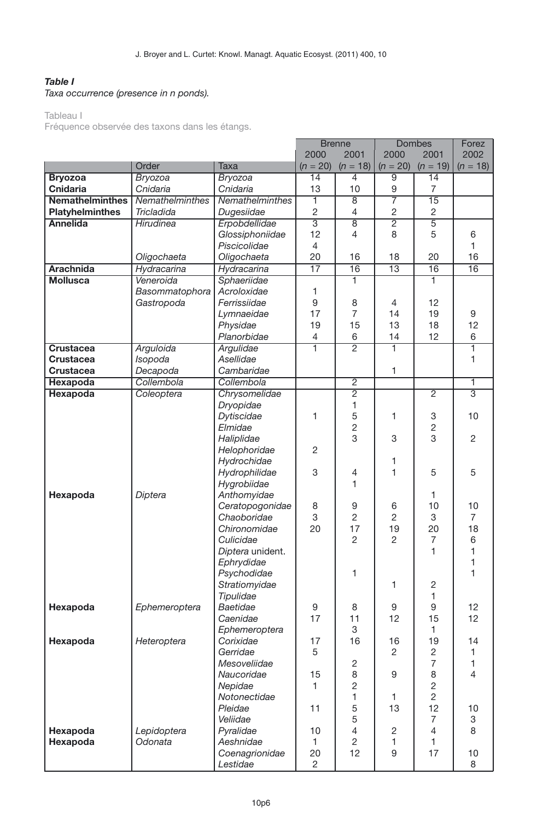## <span id="page-5-0"></span>*Table I*

### *Taxa occurrence (presence in n ponds).*

#### Tableau I

Fréquence observée des taxons dans les étangs.

|                        |                        |                  | <b>Brenne</b>        |                                  | Dombes         |                 | Forez          |
|------------------------|------------------------|------------------|----------------------|----------------------------------|----------------|-----------------|----------------|
|                        |                        |                  | 2000                 | 2001                             | 2000           | 2001            | 2002           |
|                        | Order                  | Taxa             | $(n = 20)$           | $(n = 18)$                       | $(n = 20)$     | $(n = 19)$      | $(n = 18)$     |
| <b>Bryozoa</b>         | Bryozoa                | Bryozoa          | $\overline{14}$      | 4                                | 9              | $\overline{14}$ |                |
| Cnidaria               | Cnidaria               | Cnidaria         | 13                   | 10                               | 9              | $\overline{7}$  |                |
| <b>Nemathelminthes</b> | Nemathelminthes        | Nemathelminthes  | T                    | $\overline{8}$                   | 7              | 15              |                |
| <b>Platyhelminthes</b> | Tricladida             | Dugesiidae       | $\overline{c}$       | 4                                | $\overline{c}$ | 2               |                |
| <b>Annelida</b>        | Hirudinea              | Erpobdellidae    | 3                    | $\overline{8}$                   | $\overline{2}$ | 5               |                |
|                        |                        | Glossiphoniidae  | 12                   | 4                                | 8              | 5               | 6              |
|                        |                        | Piscicolidae     | $\overline{4}$       |                                  |                |                 | 1              |
|                        | Oligochaeta            | Oligochaeta      | 20                   | 16                               | 18             | 20              | 16             |
| <b>Arachnida</b>       | Hydracarina            | Hydracarina      | $\overline{17}$      | 16                               | 13             | $\overline{16}$ | 16             |
| <b>Mollusca</b>        | Veneroida              | Sphaeriidae      |                      | 1                                |                | 1               |                |
|                        | Basommatophora         | Acroloxidae      | 1                    |                                  |                |                 |                |
|                        | Gastropoda             | Ferrissiidae     | 9                    | 8                                | $\overline{4}$ | 12              |                |
|                        |                        | Lymnaeidae       | 17                   | 7                                | 14             | 19              | 9              |
|                        |                        | Physidae         | 19                   | 15                               | 13             | 18              | 12             |
|                        |                        | Planorbidae      | $\overline{4}$       | 6                                | 14             | 12              | 6              |
| <b>Crustacea</b>       | Arguloida              | Argulidae        | Ŧ                    | $\overline{2}$                   | 1              |                 | 1              |
| <b>Crustacea</b>       | Isopoda                | Asellidae        |                      |                                  |                |                 | $\mathbf{1}$   |
| <b>Crustacea</b>       | Decapoda               | Cambaridae       |                      |                                  | 1              |                 |                |
| <b>Hexapoda</b>        | Collembola             | Collembola       |                      | $\overline{2}$                   |                |                 | 1              |
| <b>Hexapoda</b>        | Coleoptera             | Chrysomelidae    |                      | $\overline{2}$                   |                | $\overline{2}$  | 3              |
|                        |                        | Dryopidae        |                      | 1                                |                |                 |                |
|                        |                        | Dytiscidae       | 1                    | 5                                | 1              | 3               | 10             |
|                        |                        | Elmidae          |                      | $\overline{c}$                   |                | $\overline{c}$  |                |
|                        |                        | Haliplidae       |                      | 3                                | 3              | 3               | $\overline{2}$ |
|                        |                        | Helophoridae     | 2                    |                                  |                |                 |                |
|                        |                        | Hydrochidae      |                      |                                  | 1              |                 |                |
|                        |                        | Hydrophilidae    | 3                    | 4                                | 1              | 5               | 5              |
|                        |                        | Hygrobiidae      |                      | 1                                |                |                 |                |
| Hexapoda               | Diptera                | Anthomyidae      |                      |                                  |                | 1               |                |
|                        |                        | Ceratopogonidae  | 8                    | 9                                | 6              | 10              | 10             |
|                        |                        | Chaoboridae      | 3                    | $\overline{c}$                   | $\overline{2}$ | 3               | $\overline{7}$ |
|                        |                        | Chironomidae     | 20                   | 17                               | 19             | 20              | 18             |
|                        |                        | Culicidae        |                      | $\overline{c}$                   | $\overline{c}$ | 7               | 6              |
|                        |                        | Diptera unident. |                      |                                  |                | 1               | $\mathbf{1}$   |
|                        |                        | Ephrydidae       |                      |                                  |                |                 | 1              |
|                        |                        | Psychodidae      |                      | 1                                |                |                 | 1              |
|                        |                        | Stratiomyidae    |                      |                                  | 1              | $\overline{2}$  |                |
|                        |                        | Tipulidae        |                      |                                  |                | 1               |                |
| Hexapoda               | Ephemeroptera          | Baetidae         | 9                    | 8                                | 9              | 9               | 12             |
|                        |                        | Caenidae         | 17                   | 11                               | 12             | 15              | 12             |
|                        |                        | Ephemeroptera    |                      | 3                                |                | 1               |                |
| Hexapoda               | Heteroptera            | Corixidae        | 17                   | 16                               | 16             | 19              | 14             |
|                        |                        | Gerridae         | 5                    |                                  | $\overline{c}$ | $\overline{c}$  | $\mathbf{1}$   |
|                        |                        | Mesoveliidae     |                      | 2                                |                | $\overline{7}$  | 1              |
|                        |                        | Naucoridae       | 15                   | 8                                | 9              | 8               | $\overline{4}$ |
|                        |                        | Nepidae          | 1.                   | $\overline{c}$                   |                | $\overline{c}$  |                |
|                        |                        | Notonectidae     |                      | 1                                | 1              | $\overline{2}$  |                |
|                        |                        | Pleidae          | 11                   | 5                                | 13             | 12              | 10             |
|                        |                        | Veliidae         |                      | 5                                |                | $\overline{7}$  | 3              |
| Hexapoda               | Lepidoptera<br>Odonata | Pyralidae        | 10                   | $\overline{4}$<br>$\overline{c}$ | 2              | 4               | 8              |
| Hexapoda               |                        | Aeshnidae        | 1                    | 12                               | 1              | 1<br>17         |                |
|                        |                        | Coenagrionidae   | 20<br>$\overline{c}$ |                                  | 9              |                 | 10<br>8        |
|                        |                        | Lestidae         |                      |                                  |                |                 |                |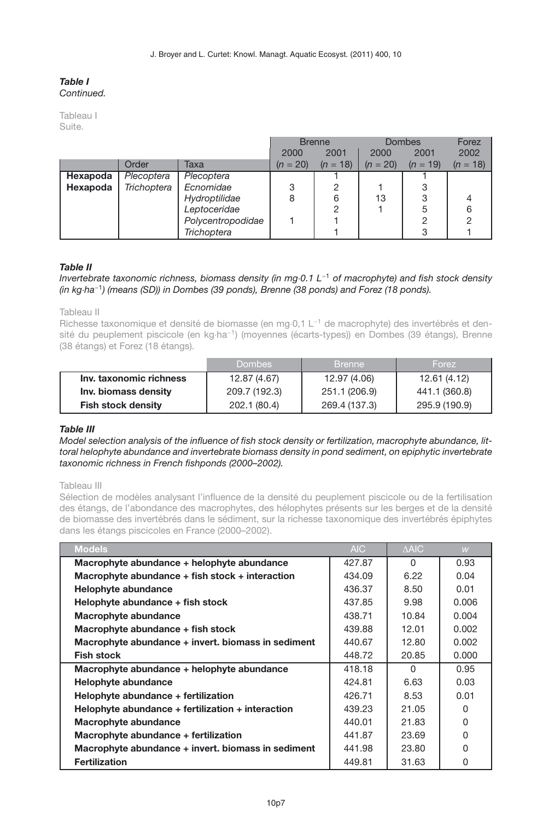#### *Table I Continued.*

Tableau I Suite.

|          |             |                    | 2000       | <b>Brenne</b><br>2001 | 2000       | Dombes<br>2001 | Forez<br>2002 |
|----------|-------------|--------------------|------------|-----------------------|------------|----------------|---------------|
|          | Order       | Таха               | $(n = 20)$ | $(n = 18)$            | $(n = 20)$ | $(n = 19)$     | $(n = 18)$    |
| Hexapoda | Plecoptera  | Plecoptera         |            |                       |            |                |               |
| Hexapoda | Trichoptera | Ecnomidae          | 3          | 2                     |            | 3              |               |
|          |             | Hydroptilidae      | 8          | 6                     | 13         | З              |               |
|          |             | Leptoceridae       |            | 2                     |            | 5              | 6             |
|          |             | Polycentropodidae  |            |                       |            | າ              |               |
|          |             | <b>Trichoptera</b> |            |                       |            | З              |               |

#### <span id="page-6-0"></span>*Table II*

#### *Invertebrate taxonomic richness, biomass density (in mg*·*0.1 L*−<sup>1</sup> *of macrophyte) and fish stock density (in kg*·*ha*−<sup>1</sup>*) (means (SD)) in Dombes (39 ponds), Brenne (38 ponds) and Forez (18 ponds).*

Tableau II

Richesse taxonomique et densité de biomasse (en mg·0,1 L<sup>-1</sup> de macrophyte) des invertébrés et densité du peuplement piscicole (en kg·ha−1) (moyennes (écarts-types)) en Dombes (39 étangs), Brenne (38 étangs) et Forez (18 étangs).

|                           | <b>Dombes</b> | <b>Brenne</b> | Forez <sup>1</sup> |
|---------------------------|---------------|---------------|--------------------|
| Inv. taxonomic richness   | 12.87 (4.67)  | 12.97 (4.06)  | 12.61(4.12)        |
| Inv. biomass density      | 209.7 (192.3) | 251.1 (206.9) | 441.1 (360.8)      |
| <b>Fish stock density</b> | 202.1 (80.4)  | 269.4 (137.3) | 295.9 (190.9)      |

#### <span id="page-6-1"></span>*Table III*

*Model selection analysis of the influence of fish stock density or fertilization, macrophyte abundance, littoral helophyte abundance and invertebrate biomass density in pond sediment, on epiphytic invertebrate taxonomic richness in French fishponds (2000–2002).*

Tableau III

Sélection de modèles analysant l'influence de la densité du peuplement piscicole ou de la fertilisation des étangs, de l'abondance des macrophytes, des hélophytes présents sur les berges et de la densité de biomasse des invertébrés dans le sédiment, sur la richesse taxonomique des invertébrés épiphytes dans les étangs piscicoles en France (2000–2002).

| <b>Models</b>                                         | AIC.   | A AIC    | W     |
|-------------------------------------------------------|--------|----------|-------|
| Macrophyte abundance + helophyte abundance            | 427.87 | n        | 0.93  |
| Macrophyte abundance + fish stock + interaction       | 434.09 | 6.22     | 0.04  |
| Helophyte abundance                                   | 436.37 | 8.50     | 0.01  |
| Helophyte abundance + fish stock                      | 437.85 | 9.98     | 0.006 |
| Macrophyte abundance                                  | 438.71 | 10.84    | 0.004 |
| Macrophyte abundance + fish stock                     | 439.88 | 12.01    | 0.002 |
| Macrophyte abundance + invert. biomass in sediment    | 440.67 | 12.80    | 0.002 |
| <b>Fish stock</b>                                     | 448.72 | 20.85    | 0.000 |
| Macrophyte abundance + helophyte abundance            | 418.18 | $\Omega$ | 0.95  |
| Helophyte abundance                                   | 424.81 | 6.63     | 0.03  |
| Helophyte abundance + fertilization                   | 426.71 | 8.53     | 0.01  |
| Helophyte abundance $+$ fertilization $+$ interaction | 439.23 | 21.05    | 0     |
| Macrophyte abundance                                  | 440.01 | 21.83    | 0     |
| Macrophyte abundance + fertilization                  | 441.87 | 23.69    | 0     |
| Macrophyte abundance + invert. biomass in sediment    | 441.98 | 23.80    | U     |
| <b>Fertilization</b>                                  | 449.81 | 31.63    | 0     |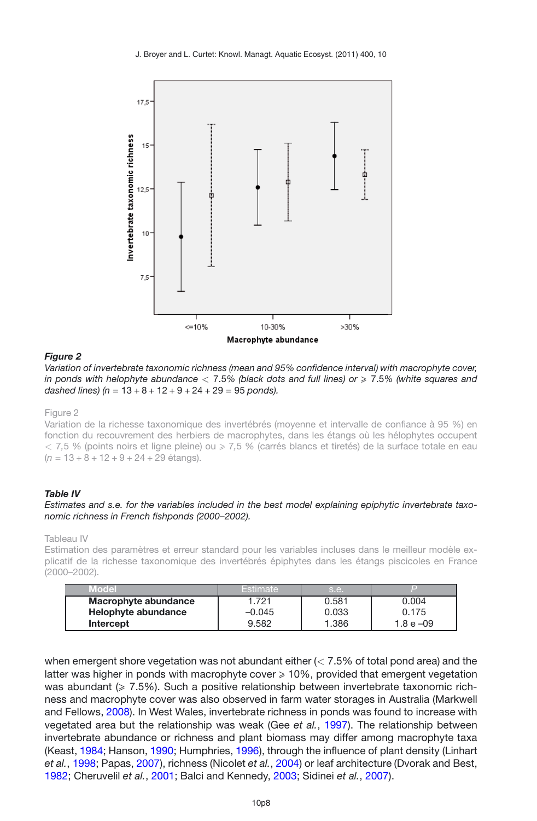<span id="page-7-1"></span>

#### *Figure 2*

*Variation of invertebrate taxonomic richness (mean and 95% confidence interval) with macrophyte cover, in ponds with helophyte abundance <* 7.5*% (black dots and full lines) or* - 7.5*% (white squares and dashed lines) (n* = 13 + 8 + 12 + 9 + 24 + 29 = 95 *ponds).*

Figure 2

Variation de la richesse taxonomique des invertébrés (moyenne et intervalle de confiance à 95 %) en fonction du recouvrement des herbiers de macrophytes, dans les étangs où les hélophytes occupent  $<$  7,5 % (points noirs et ligne pleine) ou ≥ 7,5 % (carrés blancs et tiretés) de la surface totale en eau (*n* = 13 + 8 + 12 + 9 + 24 + 29 étangs).

#### <span id="page-7-0"></span>*Table IV*

#### *Estimates and s.e. for the variables included in the best model explaining epiphytic invertebrate taxonomic richness in French fishponds (2000–2002).*

Tableau IV

Estimation des paramètres et erreur standard pour les variables incluses dans le meilleur modèle explicatif de la richesse taxonomique des invertébrés épiphytes dans les étangs piscicoles en France (2000–2002).

| Model                | 'Estimate | .s.e. |           |
|----------------------|-----------|-------|-----------|
| Macrophyte abundance | .721      | 0.581 | 0.004     |
| Helophyte abundance  | $-0.045$  | 0.033 | 0.175     |
| Intercept            | 9.582     | 1.386 | 1.8 e –09 |

when emergent shore vegetation was not abundant either (*<* 7.5% of total pond area) and the latter was higher in ponds with macrophyte cover  $\geqslant 10\%$ , provided that emergent vegetation was abundant ( $\geqslant 7.5\%$ ). Such a positive relationship between invertebrate taxonomic richness and macrophyte cover was also observed in farm water storages in Australia (Markwell and Fellows, [2008](#page-11-11)). In West Wales, invertebrate richness in ponds was found to increase with vegetated area but the relationship was weak (Gee *et al.*, [1997](#page-10-18)). The relationship between invertebrate abundance or richness and plant biomass may differ among macrophyte taxa (Keast, [1984](#page-10-19); Hanson, [1990;](#page-10-20) Humphries, [1996](#page-10-21)), through the influence of plant density (Linhart *et al.*, [1998](#page-11-12); Papas, [2007\)](#page-11-13), richness (Nicolet *et al.*, [2004](#page-11-14)) or leaf architecture (Dvorak and Best, [1982;](#page-10-22) Cheruvelil *et al.*, [2001;](#page-10-23) Balci and Kennedy, [2003](#page-9-2); Sidinei *et al.*, [2007](#page-11-15)).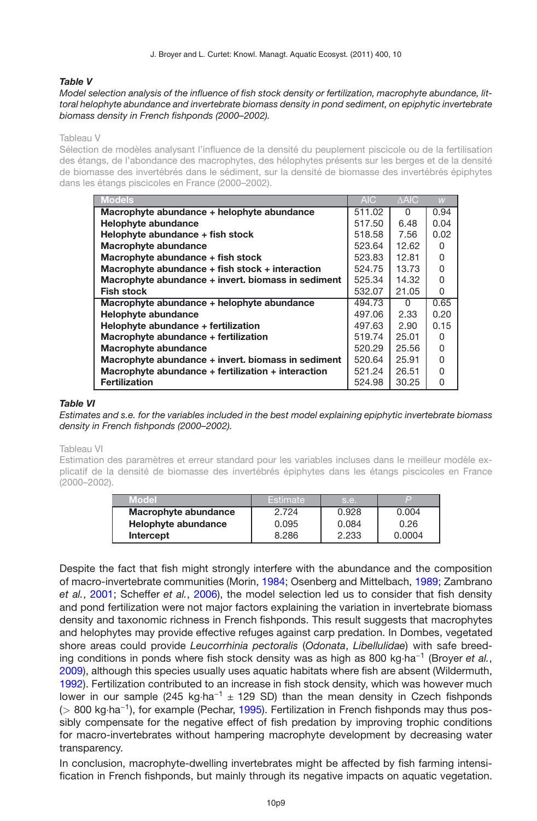J. Broyer and L. Curtet: Knowl. Managt. Aquatic Ecosyst. (2011) 400, 10

### <span id="page-8-0"></span>*Table V*

#### *Model selection analysis of the influence of fish stock density or fertilization, macrophyte abundance, littoral helophyte abundance and invertebrate biomass density in pond sediment, on epiphytic invertebrate biomass density in French fishponds (2000–2002).*

#### Tableau V

Sélection de modèles analysant l'influence de la densité du peuplement piscicole ou de la fertilisation des étangs, de l'abondance des macrophytes, des hélophytes présents sur les berges et de la densité de biomasse des invertébrés dans le sédiment, sur la densité de biomasse des invertébrés épiphytes dans les étangs piscicoles en France (2000–2002).

| <b>Models</b>                                       | <b>AIC</b> | A AIC | W    |
|-----------------------------------------------------|------------|-------|------|
| Macrophyte abundance + helophyte abundance          | 511.02     | 0     | 0.94 |
| Helophyte abundance                                 | 517.50     | 6.48  | 0.04 |
| Helophyte abundance + fish stock                    | 518.58     | 7.56  | 0.02 |
| Macrophyte abundance                                | 523.64     | 12.62 | 0    |
| Macrophyte abundance + fish stock                   | 523.83     | 12.81 | 0    |
| Macrophyte abundance $+$ fish stock $+$ interaction | 524.75     | 13.73 | 0    |
| Macrophyte abundance + invert. biomass in sediment  | 525.34     | 14.32 | 0    |
| <b>Fish stock</b>                                   | 532.07     | 21.05 | 0    |
| Macrophyte abundance + helophyte abundance          | 494.73     | 0     | 0.65 |
| <b>Helophyte abundance</b>                          | 497.06     | 2.33  | 0.20 |
| Helophyte abundance + fertilization                 | 497.63     | 2.90  | 0.15 |
| Macrophyte abundance + fertilization                | 519.74     | 25.01 | 0    |
| Macrophyte abundance                                | 520.29     | 25.56 | 0    |
| Macrophyte abundance + invert. biomass in sediment  | 520.64     | 25.91 | 0    |
| Macrophyte abundance + fertilization + interaction  | 521.24     | 26.51 | 0    |
| <b>Fertilization</b>                                | 524.98     | 30.25 | 0    |

#### <span id="page-8-1"></span>*Table VI*

*Estimates and s.e. for the variables included in the best model explaining epiphytic invertebrate biomass density in French fishponds (2000–2002).*

Tableau VI

Estimation des paramètres et erreur standard pour les variables incluses dans le meilleur modèle explicatif de la densité de biomasse des invertébrés épiphytes dans les étangs piscicoles en France (2000–2002).

| Model                | Estimate | s.e.  | l mi   |
|----------------------|----------|-------|--------|
| Macrophyte abundance | 2.724    | 0.928 | 0.004  |
| Helophyte abundance  | 0.095    | 0.084 | 0.26   |
| Intercept            | 8.286    | 2.233 | 0.0004 |

Despite the fact that fish might strongly interfere with the abundance and the composition of macro-invertebrate communities (Morin, [1984;](#page-11-7) Osenberg and Mittelbach, [1989](#page-11-16); Zambrano *et al.*, [2001;](#page-11-17) Scheffer *et al.*, [2006](#page-11-18)), the model selection led us to consider that fish density and pond fertilization were not major factors explaining the variation in invertebrate biomass density and taxonomic richness in French fishponds. This result suggests that macrophytes and helophytes may provide effective refuges against carp predation. In Dombes, vegetated shore areas could provide *Leucorrhinia pectoralis* (*Odonata*, *Libellulidae*) with safe breeding conditions in ponds where fish stock density was as high as 800 kg·ha−<sup>1</sup> (Broyer *et al.*, [2009\)](#page-10-7), although this species usually uses aquatic habitats where fish are absent (Wildermuth, [1992\)](#page-11-19). Fertilization contributed to an increase in fish stock density, which was however much lower in our sample (245 kg⋅ha<sup>-1</sup>  $\pm$  129 SD) than the mean density in Czech fishponds (*<sup>&</sup>gt;* 800 kg·ha−1), for example (Pechar, [1995\)](#page-11-20). Fertilization in French fishponds may thus possibly compensate for the negative effect of fish predation by improving trophic conditions for macro-invertebrates without hampering macrophyte development by decreasing water transparency.

In conclusion, macrophyte-dwelling invertebrates might be affected by fish farming intensification in French fishponds, but mainly through its negative impacts on aquatic vegetation.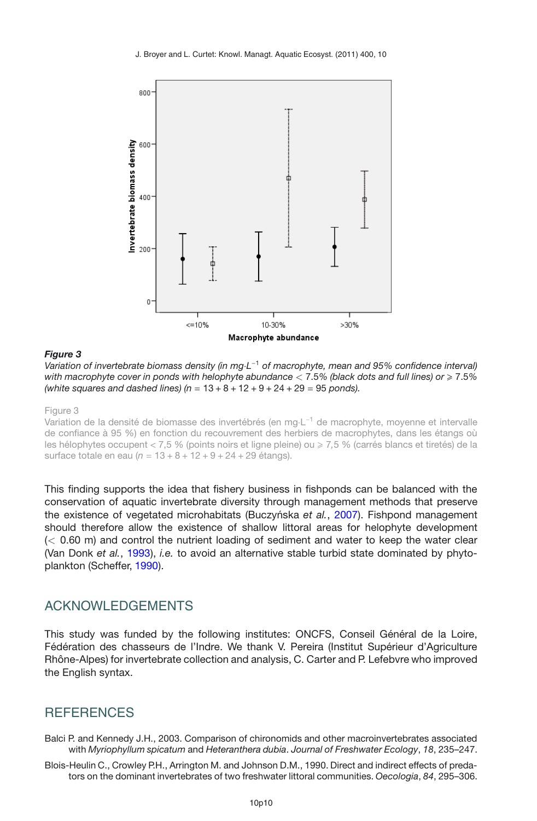<span id="page-9-1"></span>

#### *Figure 3*

*Variation of invertebrate biomass density (in mg*·*L*−<sup>1</sup> *of macrophyte, mean and 95% confidence interval) with macrophyte cover in ponds with helophyte abundance <* 7.5*% (black dots and full lines) or* - 7.5*% (white squares and dashed lines) (n* = 13 + 8 + 12 + 9 + 24 + 29 = 95 *ponds).*

Figure 3

Variation de la densité de biomasse des invertébrés (en mg·L−<sup>1</sup> de macrophyte, moyenne et intervalle de confiance à 95 %) en fonction du recouvrement des herbiers de macrophytes, dans les étangs où les hélophytes occupent < 7,5 % (points noirs et ligne pleine) ou - 7*,*5 % (carrés blancs et tiretés) de la surface totale en eau (*n* = 13 + 8 + 12 + 9 + 24 + 29 étangs).

This finding supports the idea that fishery business in fishponds can be balanced with the conservation of aquatic invertebrate diversity through management methods that preserve the existence of vegetated microhabitats (Buczyńska et al., [2007](#page-10-6)). Fishpond management should therefore allow the existence of shallow littoral areas for helophyte development (*<* 0.60 m) and control the nutrient loading of sediment and water to keep the water clear (Van Donk *et al.*, [1993\)](#page-11-21), *i.e.* to avoid an alternative stable turbid state dominated by phytoplankton (Scheffer, [1990](#page-11-22)).

## ACKNOWLEDGEMENTS

This study was funded by the following institutes: ONCFS, Conseil Général de la Loire, Fédération des chasseurs de l'Indre. We thank V. Pereira (Institut Supérieur d'Agriculture Rhône-Alpes) for invertebrate collection and analysis, C. Carter and P. Lefebvre who improved the English syntax.

## **REFERENCES**

<span id="page-9-2"></span>Balci P. and Kennedy J.H., 2003. Comparison of chironomids and other macroinvertebrates associated with *Myriophyllum spicatum* and *Heteranthera dubia*. *Journal of Freshwater Ecology*, *18*, 235–247.

<span id="page-9-0"></span>Blois-Heulin C., Crowley P.H., Arrington M. and Johnson D.M., 1990. Direct and indirect effects of predators on the dominant invertebrates of two freshwater littoral communities. *Oecologia*, *84*, 295–306.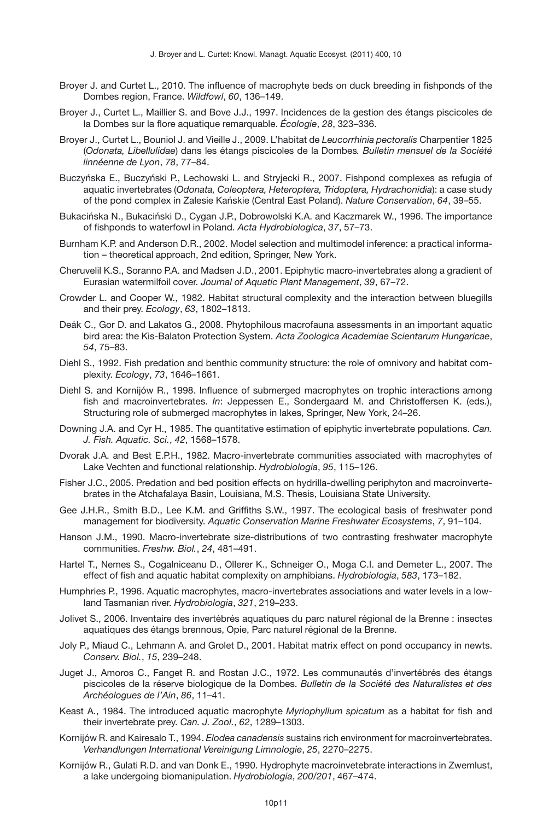- <span id="page-10-4"></span>Broyer J. and Curtet L., 2010. The influence of macrophyte beds on duck breeding in fishponds of the Dombes region, France. *Wildfowl*, *60*, 136–149.
- <span id="page-10-1"></span>Broyer J., Curtet L., Maillier S. and Bove J.J., 1997. Incidences de la gestion des étangs piscicoles de la Dombes sur la flore aquatique remarquable. *Écologie*, *28*, 323–336.
- <span id="page-10-7"></span>Broyer J., Curtet L., Bouniol J. and Vieille J., 2009. L'habitat de *Leucorrhinia pectoralis* Charpentier 1825 (*Odonata, Libellulidae*) dans les étangs piscicoles de la Dombes*. Bulletin mensuel de la Société linnéenne de Lyon*, *78*, 77–84.
- <span id="page-10-6"></span>Buczyńska E., Buczyński P., Lechowski L. and Stryjecki R., 2007. Fishpond complexes as refugia of aquatic invertebrates (*Odonata, Coleoptera, Heteroptera, Tridoptera, Hydrachonidia*): a case study of the pond complex in Zalesie Kanskie (Central East Poland). ´ *Nature Conservation*, *64*, 39–55.
- <span id="page-10-0"></span>Bukacińska N., Bukaciński D., Cygan J.P., Dobrowolski K.A. and Kaczmarek W., 1996. The importance of fishponds to waterfowl in Poland. *Acta Hydrobiologica*, *37*, 57–73.
- <span id="page-10-15"></span>Burnham K.P. and Anderson D.R., 2002. Model selection and multimodel inference: a practical information – theoretical approach, 2nd edition, Springer, New York.
- <span id="page-10-23"></span>Cheruvelil K.S., Soranno P.A. and Madsen J.D., 2001. Epiphytic macro-invertebrates along a gradient of Eurasian watermilfoil cover. *Journal of Aquatic Plant Management*, *39*, 67–72.
- <span id="page-10-12"></span>Crowder L. and Cooper W., 1982. Habitat structural complexity and the interaction between bluegills and their prey. *Ecology*, *63*, 1802–1813.
- <span id="page-10-14"></span>Deák C., Gor D. and Lakatos G., 2008. Phytophilous macrofauna assessments in an important aquatic bird area: the Kis-Balaton Protection System. *Acta Zoologica Academiae Scientarum Hungaricae*, *54*, 75–83.
- <span id="page-10-13"></span>Diehl S., 1992. Fish predation and benthic community structure: the role of omnivory and habitat complexity. *Ecology*, *73*, 1646–1661.
- <span id="page-10-10"></span>Diehl S. and Kornijów R., 1998. Influence of submerged macrophytes on trophic interactions among fish and macroinvertebrates. *In*: Jeppessen E., Sondergaard M. and Christoffersen K. (eds.), Structuring role of submerged macrophytes in lakes, Springer, New York, 24–26.
- <span id="page-10-11"></span>Downing J.A. and Cyr H., 1985. The quantitative estimation of epiphytic invertebrate populations. *Can. J. Fish. Aquatic. Sci.*, *42*, 1568–1578.
- <span id="page-10-22"></span>Dvorak J.A. and Best E.P.H., 1982. Macro-invertebrate communities associated with macrophytes of Lake Vechten and functional relationship. *Hydrobiologia*, *95*, 115–126.
- <span id="page-10-8"></span>Fisher J.C., 2005. Predation and bed position effects on hydrilla-dwelling periphyton and macroinvertebrates in the Atchafalaya Basin, Louisiana, M.S. Thesis, Louisiana State University.
- <span id="page-10-18"></span>Gee J.H.R., Smith B.D., Lee K.M. and Griffiths S.W., 1997. The ecological basis of freshwater pond management for biodiversity. *Aquatic Conservation Marine Freshwater Ecosystems*, *7*, 91–104.
- <span id="page-10-20"></span>Hanson J.M., 1990. Macro-invertebrate size-distributions of two contrasting freshwater macrophyte communities. *Freshw. Biol.*, *24*, 481–491.
- <span id="page-10-3"></span>Hartel T., Nemes S., Cogalniceanu D., Ollerer K., Schneiger O., Moga C.I. and Demeter L., 2007. The effect of fish and aquatic habitat complexity on amphibians. *Hydrobiologia*, *583*, 173–182.
- <span id="page-10-21"></span>Humphries P., 1996. Aquatic macrophytes, macro-invertebrates associations and water levels in a lowland Tasmanian river. *Hydrobiologia*, *321*, 219–233.
- <span id="page-10-5"></span>Jolivet S., 2006. Inventaire des invertébrés aquatiques du parc naturel régional de la Brenne : insectes aquatiques des étangs brennous, Opie, Parc naturel régional de la Brenne.
- <span id="page-10-2"></span>Joly P., Miaud C., Lehmann A. and Grolet D., 2001. Habitat matrix effect on pond occupancy in newts. *Conserv. Biol.*, *15*, 239–248.
- <span id="page-10-9"></span>Juget J., Amoros C., Fanget R. and Rostan J.C., 1972. Les communautés d'invertébrés des étangs piscicoles de la réserve biologique de la Dombes. *Bulletin de la Société des Naturalistes et des Archéologues de l'Ain*, *86*, 11–41.
- <span id="page-10-19"></span>Keast A., 1984. The introduced aquatic macrophyte *Myriophyllum spicatum* as a habitat for fish and their invertebrate prey. *Can. J. Zool.*, *62*, 1289–1303.
- <span id="page-10-17"></span>Kornijów R. and Kairesalo T., 1994. *Elodea canadensis* sustains rich environment for macroinvertebrates. *Verhandlungen International Vereinigung Limnologie*, *25*, 2270–2275.
- <span id="page-10-16"></span>Kornijów R., Gulati R.D. and van Donk E., 1990. Hydrophyte macroinvetebrate interactions in Zwemlust, a lake undergoing biomanipulation. *Hydrobiologia*, *200/201*, 467–474.